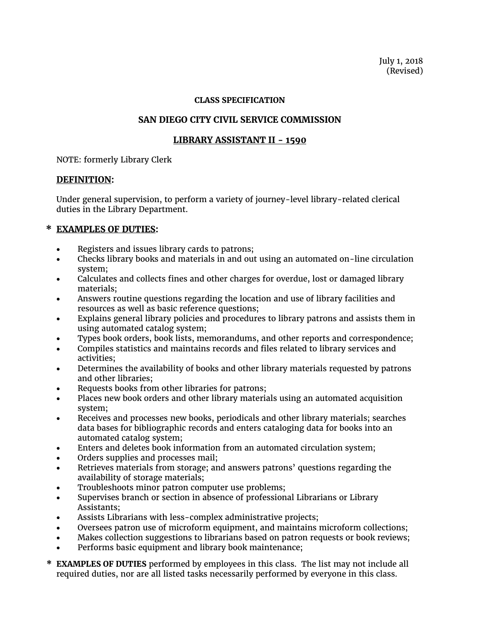July 1, 2018 (Revised)

#### **CLASS SPECIFICATION**

### **SAN DIEGO CITY CIVIL SERVICE COMMISSION**

### **LIBRARY ASSISTANT II - 1590**

NOTE: formerly Library Clerk

### **DEFINITION:**

Under general supervision, to perform a variety of journey-level library-related clerical duties in the Library Department.

# **\* EXAMPLES OF DUTIES:**

- Registers and issues library cards to patrons;
- Checks library books and materials in and out using an automated on-line circulation system;
- Calculates and collects fines and other charges for overdue, lost or damaged library materials;
- Answers routine questions regarding the location and use of library facilities and resources as well as basic reference questions;
- Explains general library policies and procedures to library patrons and assists them in using automated catalog system;
- Types book orders, book lists, memorandums, and other reports and correspondence;
- Compiles statistics and maintains records and files related to library services and activities;
- Determines the availability of books and other library materials requested by patrons and other libraries;
- Requests books from other libraries for patrons;
- Places new book orders and other library materials using an automated acquisition system;
- Receives and processes new books, periodicals and other library materials; searches data bases for bibliographic records and enters cataloging data for books into an automated catalog system;
- Enters and deletes book information from an automated circulation system;
- Orders supplies and processes mail;
- Retrieves materials from storage; and answers patrons' questions regarding the availability of storage materials;
- Troubleshoots minor patron computer use problems;
- Supervises branch or section in absence of professional Librarians or Library Assistants;
- Assists Librarians with less-complex administrative projects;
- Oversees patron use of microform equipment, and maintains microform collections;
- Makes collection suggestions to librarians based on patron requests or book reviews;
- Performs basic equipment and library book maintenance;
- **\* EXAMPLES OF DUTIES** performed by employees in this class. The list may not include all required duties, nor are all listed tasks necessarily performed by everyone in this class.